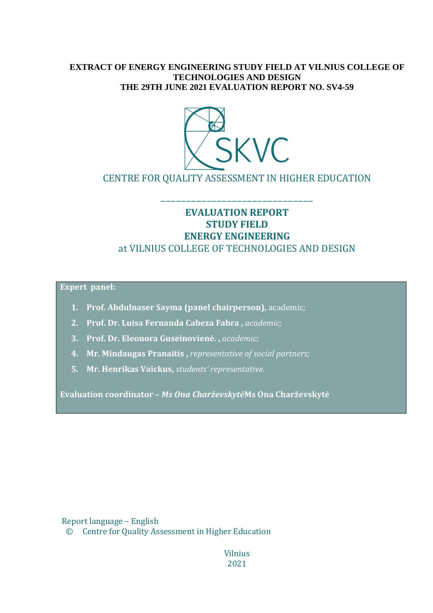#### **EXTRACT OF ENERGY ENGINEERING STUDY FIELD AT VILNIUS COLLEGE OF TECHNOLOGIES AND DESIGN THE 29TH JUNE 2021 EVALUATION REPORT NO. SV4-59**



CENTRE FOR QUALITY ASSESSMENT IN HIGHER EDUCATION

### **EVALUATION REPORT STUDY FIELD ENERGY ENGINEERING** at VILNIUS COLLEGE OF TECHNOLOGIES AND DESIGN

––––––––––––––––––––––––––––––

**Expert panel:**

- **1. Prof. Abdulnaser Sayma (panel chairperson),** academic*;*
- **2. Prof. Dr. Luisa Fernanda Cabeza Fabra ,** *academic;*
- **3. Prof. Dr. Eleonora Guseinovienė. ,** *academic;*
- **4. Mr. Mindaugas Pranaitis ,** *representative of social partners;*
- **5. Mr. Henrikas Vaickus,** *students' representative*.

**Evaluation coordinator –** *Ms Ona Charževskytė***Ms Ona Charževskytė**

Report language – English

© Centre for Quality Assessment in Higher Education

Vilnius 2021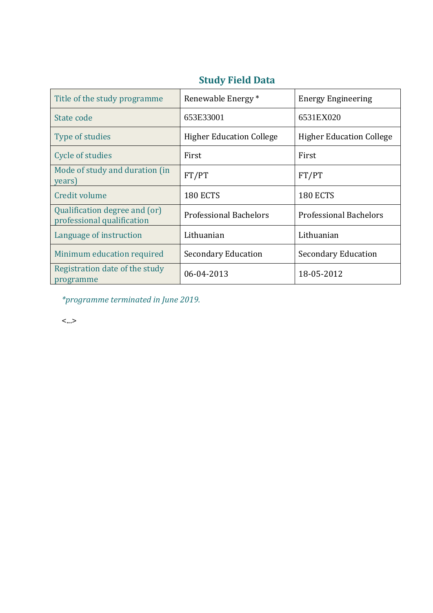| Title of the study programme                                | Renewable Energy *              | <b>Energy Engineering</b>       |
|-------------------------------------------------------------|---------------------------------|---------------------------------|
| State code                                                  | 653E33001                       | 6531EX020                       |
| Type of studies                                             | <b>Higher Education College</b> | <b>Higher Education College</b> |
| Cycle of studies                                            | First                           | First                           |
| Mode of study and duration (in<br>years)                    | FT/PT                           | FT/PT                           |
| Credit volume                                               | <b>180 ECTS</b>                 | <b>180 ECTS</b>                 |
| Qualification degree and (or)<br>professional qualification | <b>Professional Bachelors</b>   | <b>Professional Bachelors</b>   |
| Language of instruction                                     | Lithuanian                      | Lithuanian                      |
| Minimum education required                                  | <b>Secondary Education</b>      | <b>Secondary Education</b>      |
| Registration date of the study<br>programme                 | 06-04-2013                      | 18-05-2012                      |

### **Study Field Data**

*\*programme terminated in June 2019.*

<...>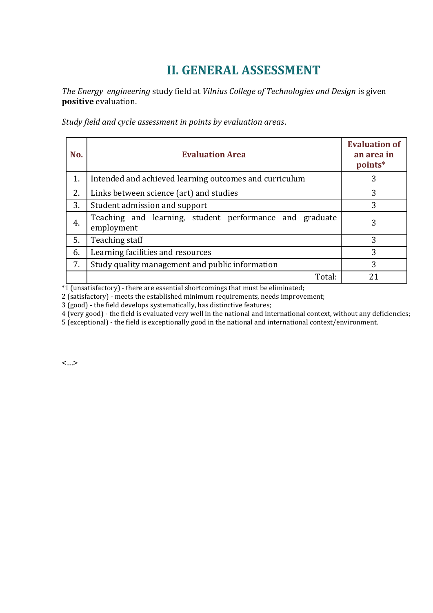# **II. GENERAL ASSESSMENT**

*The Energy engineering* study field at *Vilnius College of Technologies and Design* is given **positive** evaluation.

*Study field and cycle assessment in points by evaluation areas*.

| No. | <b>Evaluation Area</b>                                                | <b>Evaluation of</b><br>an area in<br>points* |
|-----|-----------------------------------------------------------------------|-----------------------------------------------|
| 1.  | Intended and achieved learning outcomes and curriculum                | 3                                             |
| 2.  | Links between science (art) and studies                               | 3                                             |
| 3.  | Student admission and support                                         | 3                                             |
| 4.  | Teaching and learning, student performance and graduate<br>employment | 3                                             |
| 5.  | Teaching staff                                                        | 3                                             |
| 6.  | Learning facilities and resources                                     | 3                                             |
| 7.  | Study quality management and public information                       | 3                                             |
|     | Total:                                                                | 21                                            |

 $*1$  (unsatisfactory) - there are essential shortcomings that must be eliminated;

2 (satisfactory) - meets the established minimum requirements, needs improvement;

3 (good) - the field develops systematically, has distinctive features;

4 (very good) - the field is evaluated very well in the national and international context, without any deficiencies;

5 (exceptional) - the field is exceptionally good in the national and international context/environment.

<…>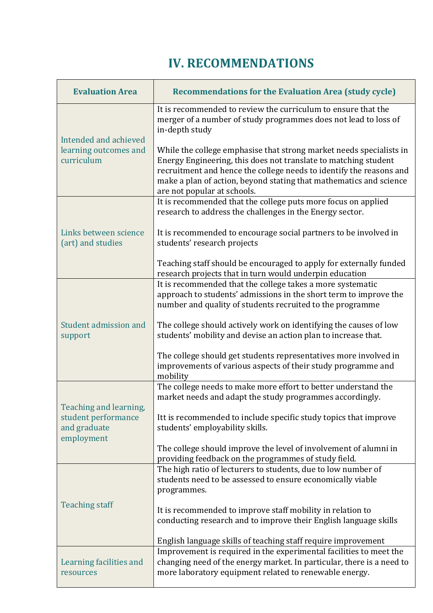# **IV. RECOMMENDATIONS**

| <b>Evaluation Area</b>                                       | <b>Recommendations for the Evaluation Area (study cycle)</b>                                                                                                                                                                                                                                                       |
|--------------------------------------------------------------|--------------------------------------------------------------------------------------------------------------------------------------------------------------------------------------------------------------------------------------------------------------------------------------------------------------------|
| Intended and achieved<br>learning outcomes and<br>curriculum | It is recommended to review the curriculum to ensure that the<br>merger of a number of study programmes does not lead to loss of<br>in-depth study                                                                                                                                                                 |
|                                                              | While the college emphasise that strong market needs specialists in<br>Energy Engineering, this does not translate to matching student<br>recruitment and hence the college needs to identify the reasons and<br>make a plan of action, beyond stating that mathematics and science<br>are not popular at schools. |
| Links between science<br>(art) and studies                   | It is recommended that the college puts more focus on applied<br>research to address the challenges in the Energy sector.                                                                                                                                                                                          |
|                                                              | It is recommended to encourage social partners to be involved in<br>students' research projects                                                                                                                                                                                                                    |
|                                                              | Teaching staff should be encouraged to apply for externally funded<br>research projects that in turn would underpin education                                                                                                                                                                                      |
| Student admission and<br>support                             | It is recommended that the college takes a more systematic<br>approach to students' admissions in the short term to improve the<br>number and quality of students recruited to the programme                                                                                                                       |
|                                                              | The college should actively work on identifying the causes of low<br>students' mobility and devise an action plan to increase that.                                                                                                                                                                                |
|                                                              | The college should get students representatives more involved in<br>improvements of various aspects of their study programme and<br>mobility                                                                                                                                                                       |
| Teaching and learning,                                       | The college needs to make more effort to better understand the<br>market needs and adapt the study programmes accordingly.                                                                                                                                                                                         |
| student performance<br>and graduate<br>employment            | Itt is recommended to include specific study topics that improve<br>students' employability skills.                                                                                                                                                                                                                |
|                                                              | The college should improve the level of involvement of alumni in<br>providing feedback on the programmes of study field.                                                                                                                                                                                           |
| <b>Teaching staff</b>                                        | The high ratio of lecturers to students, due to low number of<br>students need to be assessed to ensure economically viable<br>programmes.                                                                                                                                                                         |
|                                                              | It is recommended to improve staff mobility in relation to<br>conducting research and to improve their English language skills                                                                                                                                                                                     |
|                                                              | English language skills of teaching staff require improvement                                                                                                                                                                                                                                                      |
| Learning facilities and<br>resources                         | Improvement is required in the experimental facilities to meet the<br>changing need of the energy market. In particular, there is a need to<br>more laboratory equipment related to renewable energy.                                                                                                              |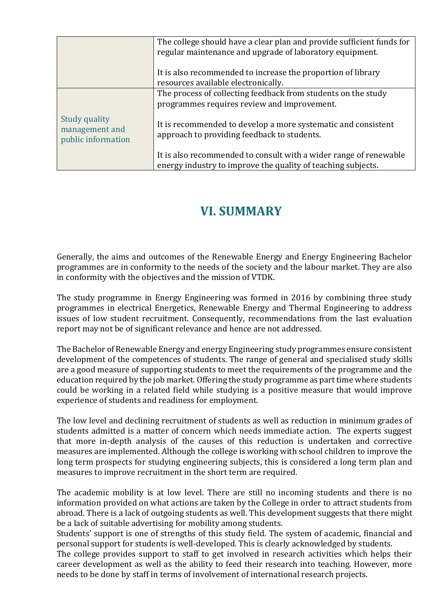|                                                       | The college should have a clear plan and provide sufficient funds for<br>regular maintenance and upgrade of laboratory equipment. |
|-------------------------------------------------------|-----------------------------------------------------------------------------------------------------------------------------------|
|                                                       | It is also recommended to increase the proportion of library<br>resources available electronically.                               |
|                                                       | The process of collecting feedback from students on the study<br>programmes requires review and improvement.                      |
| Study quality<br>management and<br>public information | It is recommended to develop a more systematic and consistent<br>approach to providing feedback to students.                      |
|                                                       | It is also recommended to consult with a wider range of renewable<br>energy industry to improve the quality of teaching subjects. |

### **VI. SUMMARY**

Generally, the aims and outcomes of the Renewable Energy and Energy Engineering Bachelor programmes are in conformity to the needs of the society and the labour market. They are also in conformity with the objectives and the mission of VTDK.

The study programme in Energy Engineering was formed in 2016 by combining three study programmes in electrical Energetics, Renewable Energy and Thermal Engineering to address issues of low student recruitment. Consequently, recommendations from the last evaluation report may not be of significant relevance and hence are not addressed.

The Bachelor of Renewable Energy and energy Engineering study programmes ensure consistent development of the competences of students. The range of general and specialised study skills are a good measure of supporting students to meet the requirements of the programme and the education required by the job market. Offering the study programme as part time where students could be working in a related field while studying is a positive measure that would improve experience of students and readiness for employment.

The low level and declining recruitment of students as well as reduction in minimum grades of students admitted is a matter of concern which needs immediate action. The experts suggest that more in-depth analysis of the causes of this reduction is undertaken and corrective measures are implemented. Although the college is working with school children to improve the long term prospects for studying engineering subjects, this is considered a long term plan and measures to improve recruitment in the short term are required.

The academic mobility is at low level. There are still no incoming students and there is no information provided on what actions are taken by the College in order to attract students from abroad. There is a lack of outgoing students as well. This development suggests that there might be a lack of suitable advertising for mobility among students.

Students' support is one of strengths of this study field. The system of academic, financial and personal support for students is well-developed. This is clearly acknowledged by students.

The college provides support to staff to get involved in research activities which helps their career development as well as the ability to feed their research into teaching. However, more needs to be done by staff in terms of involvement of international research projects.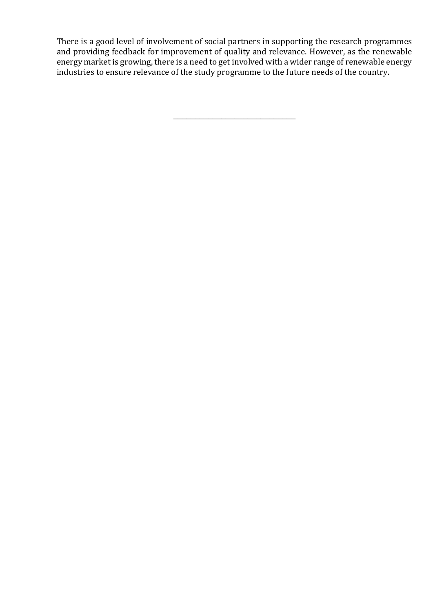There is a good level of involvement of social partners in supporting the research programmes and providing feedback for improvement of quality and relevance. However, as the renewable energy market is growing, there is a need to get involved with a wider range of renewable energy industries to ensure relevance of the study programme to the future needs of the country.

\_\_\_\_\_\_\_\_\_\_\_\_\_\_\_\_\_\_\_\_\_\_\_\_\_\_\_\_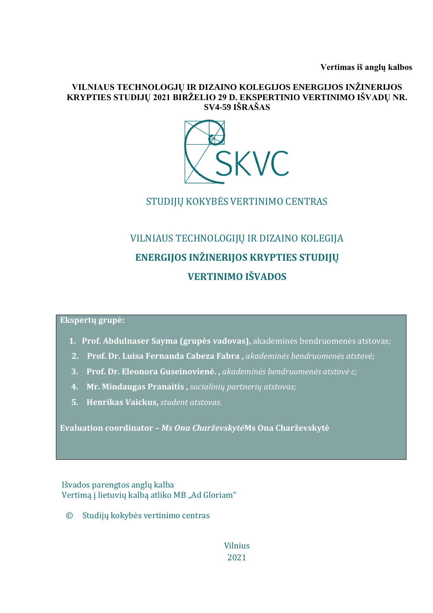**Vertimas iš anglų kalbos**

#### **VILNIAUS TECHNOLOGJŲ IR DIZAINO KOLEGIJOS ENERGIJOS INŽINERIJOS KRYPTIES STUDIJŲ 2021 BIRŽELIO 29 D. EKSPERTINIO VERTINIMO IŠVADŲ NR. SV4-59 IŠRAŠAS**



STUDIJŲ KOKYBĖS VERTINIMO CENTRAS

# VILNIAUS TECHNOLOGIJŲ IR DIZAINO KOLEGIJA **ENERGIJOS INŽINERIJOS KRYPTIES STUDIJŲ VERTINIMO IŠVADOS**

**Ekspertų grupė:**

- **1. Prof. Abdulnaser Sayma (grupės vadovas),** akademinės bendruomenės atstovas*;*
- **2. Prof. Dr. Luisa Fernanda Cabeza Fabra ,** *akademinės bendruomenės atstovė;*
- **3. Prof. Dr. Eleonora Guseinovienė. ,** *akademinės bendruomenės atstovė c;*
- **4. Mr. Mindaugas Pranaitis ,** *socialinių partnerių atstovas;*
- **5. Henrikas Vaickus,** *student atstovas*.

**Evaluation coordinator –** *Ms Ona Charževskytė***Ms Ona Charževskytė**

#### Išvados parengtos anglų kalba Vertimą į lietuvių kalbą atliko MB "Ad Gloriam"

© Studijų kokybės vertinimo centras

Vilnius 2021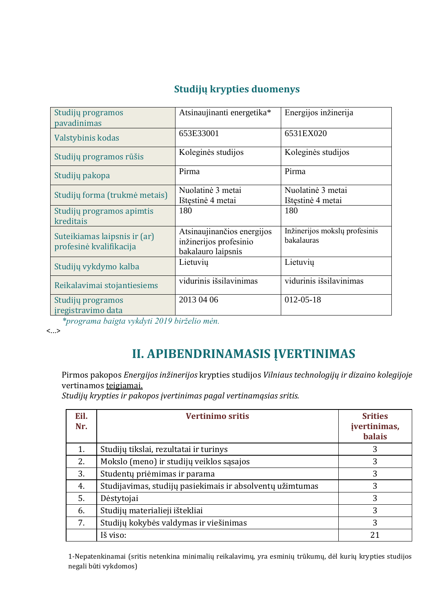### **Studijų krypties duomenys**

| Studijų programos<br>pavadinimas                        | Atsinaujinanti energetika*                                                 | Energijos inžinerija                        |
|---------------------------------------------------------|----------------------------------------------------------------------------|---------------------------------------------|
| Valstybinis kodas                                       | 653E33001                                                                  | 6531EX020                                   |
| Studijų programos rūšis                                 | Koleginės studijos                                                         | Koleginės studijos                          |
| Studijų pakopa                                          | Pirma                                                                      | Pirma                                       |
| Studijų forma (trukmė metais)                           | Nuolatinė 3 metai<br>Ištęstinė 4 metai                                     | Nuolatinė 3 metai<br>Ištęstinė 4 metai      |
| Studijų programos apimtis<br>kreditais                  | 180                                                                        | 180                                         |
| Suteikiamas laipsnis ir (ar)<br>profesinė kvalifikacija | Atsinaujinančios energijos<br>inžinerijos profesinio<br>bakalauro laipsnis | Inžinerijos mokslų profesinis<br>bakalauras |
| Studijų vykdymo kalba                                   | Lietuvių                                                                   | Lietuvių                                    |
| Reikalavimai stojantiesiems                             | vidurinis išsilavinimas                                                    | vidurinis išsilavinimas                     |
| Studijų programos<br>iregistravimo data                 | 2013 04 06                                                                 | $012 - 05 - 18$                             |

*\*programa baigta vykdyti 2019 birželio mėn.*

<...>

# **II. APIBENDRINAMASIS ĮVERTINIMAS**

Pirmos pakopos *Energijos inžinerijos* krypties studijos *Vilniaus technologijų ir dizaino kolegijoje* vertinamos teigiamai.

*Studijų krypties ir pakopos įvertinimas pagal vertinamąsias sritis.*

| Eil.<br>Nr. | <b>Vertinimo sritis</b>                                   | <b>Srities</b><br>įvertinimas,<br><b>balais</b> |
|-------------|-----------------------------------------------------------|-------------------------------------------------|
| 1.          | Studijų tikslai, rezultatai ir turinys                    | 3                                               |
| 2.          | Mokslo (meno) ir studijų veiklos sąsajos                  | 3                                               |
| 3.          | Studentų priėmimas ir parama                              | 3                                               |
| 4.          | Studijavimas, studijų pasiekimais ir absolventų užimtumas | 3                                               |
| 5.          | Dėstytojai                                                | 3                                               |
| 6.          | Studijų materialieji ištekliai                            | 3                                               |
| 7.          | Studijų kokybės valdymas ir viešinimas                    | 3                                               |
|             | Iš viso:                                                  | 21                                              |

1-Nepatenkinamai (sritis netenkina minimalių reikalavimų, yra esminių trūkumų, dėl kurių krypties studijos negali būti vykdomos)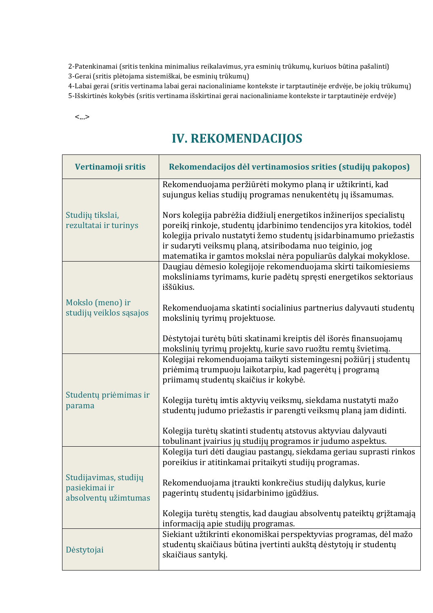2-Patenkinamai (sritis tenkina minimalius reikalavimus, yra esminių trūkumų, kuriuos būtina pašalinti) 3-Gerai (sritis plėtojama sistemiškai, be esminių trūkumų)

4-Labai gerai (sritis vertinama labai gerai nacionaliniame kontekste ir tarptautinėje erdvėje, be jokių trūkumų)

5-Išskirtinės kokybės (sritis vertinama išskirtinai gerai nacionaliniame kontekste ir tarptautinėje erdvėje)

<...>

## **IV. REKOMENDACIJOS**

| Vertinamoji sritis                                             | Rekomendacijos dėl vertinamosios srities (studijų pakopos)                                                                                                                                                                                                                                                                                        |
|----------------------------------------------------------------|---------------------------------------------------------------------------------------------------------------------------------------------------------------------------------------------------------------------------------------------------------------------------------------------------------------------------------------------------|
|                                                                | Rekomenduojama peržiūrėti mokymo planą ir užtikrinti, kad<br>sujungus kelias studijų programas nenukentėtų jų išsamumas.                                                                                                                                                                                                                          |
| Studijų tikslai,<br>rezultatai ir turinys                      | Nors kolegija pabrėžia didžiulį energetikos inžinerijos specialistų<br>poreikį rinkoje, studentų įdarbinimo tendencijos yra kitokios, todėl<br>kolegija privalo nustatyti žemo studentų įsidarbinamumo priežastis<br>ir sudaryti veiksmų planą, atsiribodama nuo teiginio, jog<br>matematika ir gamtos mokslai nėra populiarūs dalykai mokyklose. |
|                                                                | Daugiau dėmesio kolegijoje rekomenduojama skirti taikomiesiems<br>moksliniams tyrimams, kurie padėtų spręsti energetikos sektoriaus<br>iššūkius.                                                                                                                                                                                                  |
| Mokslo (meno) ir<br>studijų veiklos sąsajos                    | Rekomenduojama skatinti socialinius partnerius dalyvauti studentų<br>mokslinių tyrimų projektuose.                                                                                                                                                                                                                                                |
|                                                                | Dėstytojai turėtų būti skatinami kreiptis dėl išorės finansuojamų<br>mokslinių tyrimų projektų, kurie savo ruožtu remtų švietimą.                                                                                                                                                                                                                 |
|                                                                | Kolegijai rekomenduojama taikyti sistemingesnį požiūrį į studentų<br>priėmimą trumpuoju laikotarpiu, kad pagerėtų į programą<br>priimamų studentų skaičius ir kokybė.                                                                                                                                                                             |
| Studentų priėmimas ir<br>parama                                | Kolegija turėtų imtis aktyvių veiksmų, siekdama nustatyti mažo<br>studentų judumo priežastis ir parengti veiksmų planą jam didinti.                                                                                                                                                                                                               |
|                                                                | Kolegija turėtų skatinti studentų atstovus aktyviau dalyvauti<br>tobulinant įvairius jų studijų programos ir judumo aspektus.                                                                                                                                                                                                                     |
|                                                                | Kolegija turi dėti daugiau pastangų, siekdama geriau suprasti rinkos<br>poreikius ir atitinkamai pritaikyti studijų programas.                                                                                                                                                                                                                    |
| Studijavimas, studijų<br>pasiekimai ir<br>absolventų užimtumas | Rekomenduojama įtraukti konkrečius studijų dalykus, kurie<br>pagerintų studentų įsidarbinimo įgūdžius.                                                                                                                                                                                                                                            |
|                                                                | Kolegija turėtų stengtis, kad daugiau absolventų pateiktų grįžtamąją<br>informaciją apie studijų programas.                                                                                                                                                                                                                                       |
| Dėstytojai                                                     | Siekiant užtikrinti ekonomiškai perspektyvias programas, dėl mažo<br>studentų skaičiaus būtina įvertinti aukštą dėstytojų ir studentų<br>skaičiaus santykį.                                                                                                                                                                                       |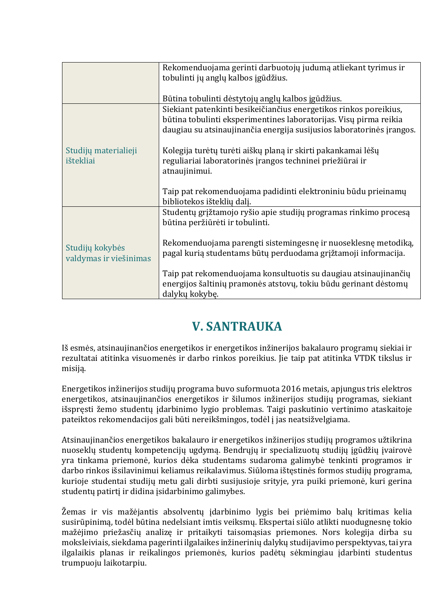| Rekomenduojama gerinti darbuotojų judumą atliekant tyrimus ir         |  |
|-----------------------------------------------------------------------|--|
| tobulinti jų anglų kalbos įgūdžius.                                   |  |
|                                                                       |  |
| Būtina tobulinti dėstytojų anglų kalbos įgūdžius.                     |  |
| Siekiant patenkinti besikeičiančius energetikos rinkos poreikius,     |  |
| būtina tobulinti eksperimentines laboratorijas. Visų pirma reikia     |  |
| daugiau su atsinaujinančia energija susijusios laboratorinės įrangos. |  |
|                                                                       |  |
| Kolegija turėtų turėti aiškų planą ir skirti pakankamai lėšų          |  |
| reguliariai laboratorinės įrangos techninei priežiūrai ir             |  |
| atnaujinimui.                                                         |  |
|                                                                       |  |
| Taip pat rekomenduojama padidinti elektroniniu būdu prieinamų         |  |
|                                                                       |  |
| bibliotekos išteklių dalį.                                            |  |
| Studentų grįžtamojo ryšio apie studijų programas rinkimo procesą      |  |
| būtina peržiūrėti ir tobulinti.                                       |  |
|                                                                       |  |
| Rekomenduojama parengti sistemingesnę ir nuoseklesnę metodiką,        |  |
| pagal kurią studentams būtų perduodama grįžtamoji informacija.        |  |
|                                                                       |  |
| Taip pat rekomenduojama konsultuotis su daugiau atsinaujinančių       |  |
| energijos šaltinių pramonės atstovų, tokiu būdu gerinant dėstomų      |  |
| dalykų kokybę.                                                        |  |
|                                                                       |  |

# **V. SANTRAUKA**

Iš esmės, atsinaujinančios energetikos ir energetikos inžinerijos bakalauro programų siekiai ir rezultatai atitinka visuomenės ir darbo rinkos poreikius. Jie taip pat atitinka VTDK tikslus ir misiją.

Energetikos inžinerijos studijų programa buvo suformuota 2016 metais, apjungus tris elektros energetikos, atsinaujinančios energetikos ir šilumos inžinerijos studijų programas, siekiant išspręsti žemo studentų įdarbinimo lygio problemas. Taigi paskutinio vertinimo ataskaitoje pateiktos rekomendacijos gali būti nereikšmingos, todėl į jas neatsižvelgiama.

Atsinaujinančios energetikos bakalauro ir energetikos inžinerijos studijų programos užtikrina nuoseklų studentų kompetencijų ugdymą. Bendrųjų ir specializuotų studijų įgūdžių įvairovė yra tinkama priemonė, kurios dėka studentams sudaroma galimybė tenkinti programos ir darbo rinkos išsilavinimui keliamus reikalavimus. Siūloma ištęstinės formos studijų programa, kurioje studentai studijų metu gali dirbti susijusioje srityje, yra puiki priemonė, kuri gerina studentų patirtį ir didina įsidarbinimo galimybes.

Žemas ir vis mažėjantis absolventų įdarbinimo lygis bei priėmimo balų kritimas kelia susirūpinimą, todėl būtina nedelsiant imtis veiksmų. Ekspertai siūlo atlikti nuodugnesnę tokio mažėjimo priežasčių analizę ir pritaikyti taisomąsias priemones. Nors kolegija dirba su moksleiviais, siekdama pagerinti ilgalaikes inžinerinių dalykų studijavimo perspektyvas, tai yra ilgalaikis planas ir reikalingos priemonės, kurios padėtų sėkmingiau įdarbinti studentus trumpuoju laikotarpiu.